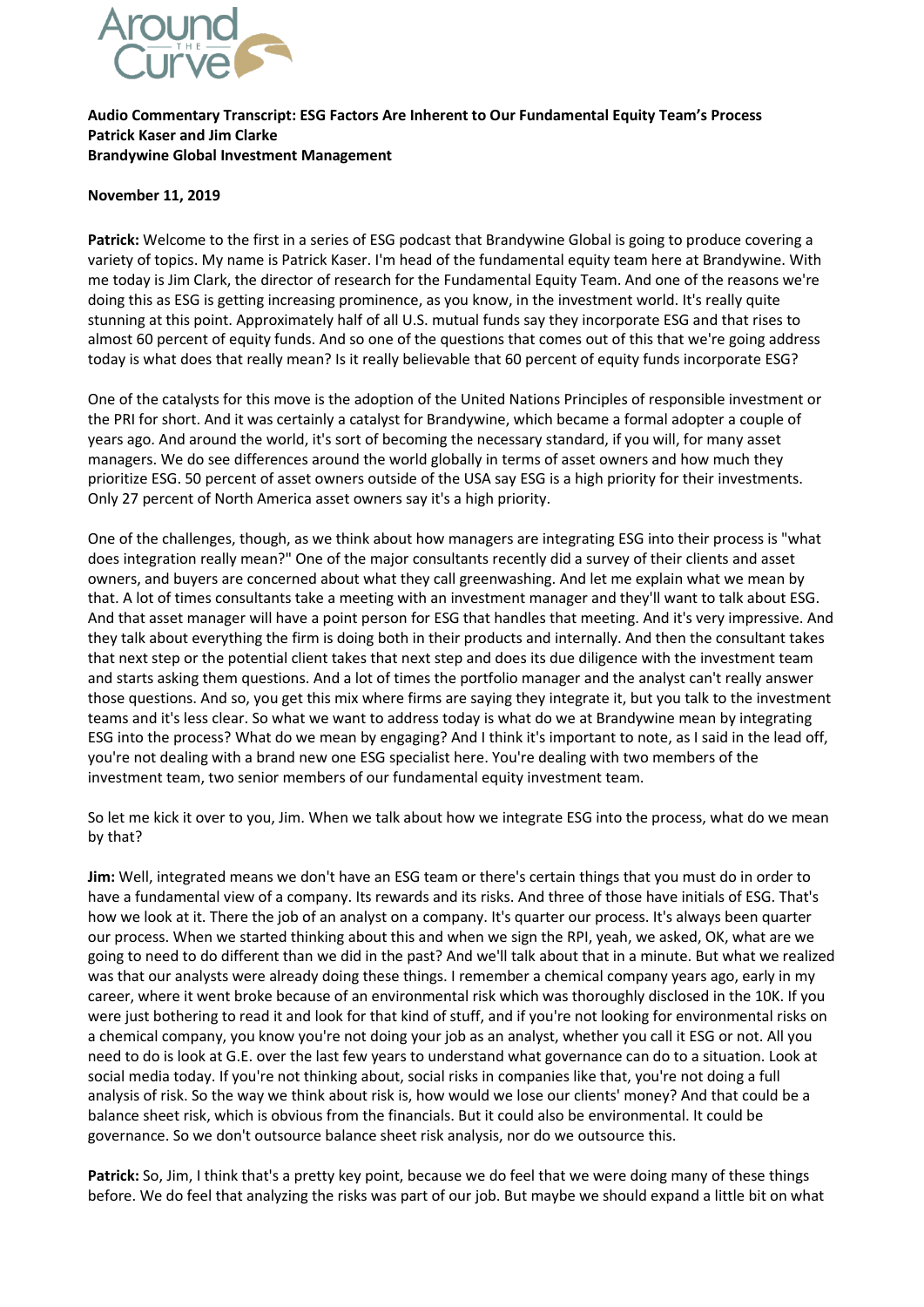

## **Audio Commentary Transcript: ESG Factors Are Inherent to Our Fundamental Equity Team's Process Patrick Kaser and Jim Clarke Brandywine Global Investment Management**

## **November 11, 2019**

**Patrick:** Welcome to the first in a series of ESG podcast that Brandywine Global is going to produce covering a variety of topics. My name is Patrick Kaser. I'm head of the fundamental equity team here at Brandywine. With me today is Jim Clark, the director of research for the Fundamental Equity Team. And one of the reasons we're doing this as ESG is getting increasing prominence, as you know, in the investment world. It's really quite stunning at this point. Approximately half of all U.S. mutual funds say they incorporate ESG and that rises to almost 60 percent of equity funds. And so one of the questions that comes out of this that we're going address today is what does that really mean? Is it really believable that 60 percent of equity funds incorporate ESG?

One of the catalysts for this move is the adoption of the United Nations Principles of responsible investment or the PRI for short. And it was certainly a catalyst for Brandywine, which became a formal adopter a couple of years ago. And around the world, it's sort of becoming the necessary standard, if you will, for many asset managers. We do see differences around the world globally in terms of asset owners and how much they prioritize ESG. 50 percent of asset owners outside of the USA say ESG is a high priority for their investments. Only 27 percent of North America asset owners say it's a high priority.

One of the challenges, though, as we think about how managers are integrating ESG into their process is "what does integration really mean?" One of the major consultants recently did a survey of their clients and asset owners, and buyers are concerned about what they call greenwashing. And let me explain what we mean by that. A lot of times consultants take a meeting with an investment manager and they'll want to talk about ESG. And that asset manager will have a point person for ESG that handles that meeting. And it's very impressive. And they talk about everything the firm is doing both in their products and internally. And then the consultant takes that next step or the potential client takes that next step and does its due diligence with the investment team and starts asking them questions. And a lot of times the portfolio manager and the analyst can't really answer those questions. And so, you get this mix where firms are saying they integrate it, but you talk to the investment teams and it's less clear. So what we want to address today is what do we at Brandywine mean by integrating ESG into the process? What do we mean by engaging? And I think it's important to note, as I said in the lead off, you're not dealing with a brand new one ESG specialist here. You're dealing with two members of the investment team, two senior members of our fundamental equity investment team.

So let me kick it over to you, Jim. When we talk about how we integrate ESG into the process, what do we mean by that?

**Jim:** Well, integrated means we don't have an ESG team or there's certain things that you must do in order to have a fundamental view of a company. Its rewards and its risks. And three of those have initials of ESG. That's how we look at it. There the job of an analyst on a company. It's quarter our process. It's always been quarter our process. When we started thinking about this and when we sign the RPI, yeah, we asked, OK, what are we going to need to do different than we did in the past? And we'll talk about that in a minute. But what we realized was that our analysts were already doing these things. I remember a chemical company years ago, early in my career, where it went broke because of an environmental risk which was thoroughly disclosed in the 10K. If you were just bothering to read it and look for that kind of stuff, and if you're not looking for environmental risks on a chemical company, you know you're not doing your job as an analyst, whether you call it ESG or not. All you need to do is look at G.E. over the last few years to understand what governance can do to a situation. Look at social media today. If you're not thinking about, social risks in companies like that, you're not doing a full analysis of risk. So the way we think about risk is, how would we lose our clients' money? And that could be a balance sheet risk, which is obvious from the financials. But it could also be environmental. It could be governance. So we don't outsource balance sheet risk analysis, nor do we outsource this.

**Patrick:** So, Jim, I think that's a pretty key point, because we do feel that we were doing many of these things before. We do feel that analyzing the risks was part of our job. But maybe we should expand a little bit on what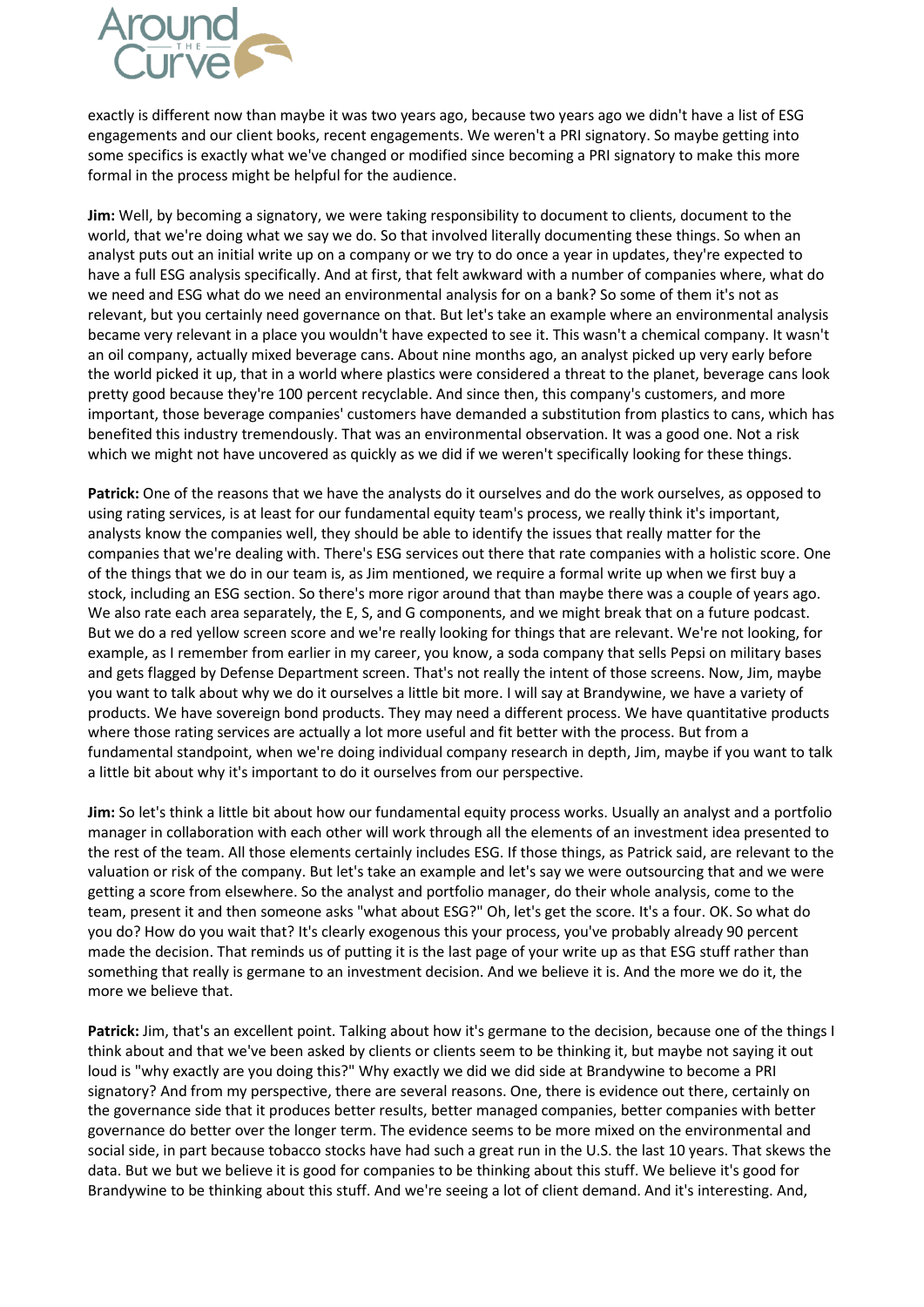

exactly is different now than maybe it was two years ago, because two years ago we didn't have a list of ESG engagements and our client books, recent engagements. We weren't a PRI signatory. So maybe getting into some specifics is exactly what we've changed or modified since becoming a PRI signatory to make this more formal in the process might be helpful for the audience.

**Jim:** Well, by becoming a signatory, we were taking responsibility to document to clients, document to the world, that we're doing what we say we do. So that involved literally documenting these things. So when an analyst puts out an initial write up on a company or we try to do once a year in updates, they're expected to have a full ESG analysis specifically. And at first, that felt awkward with a number of companies where, what do we need and ESG what do we need an environmental analysis for on a bank? So some of them it's not as relevant, but you certainly need governance on that. But let's take an example where an environmental analysis became very relevant in a place you wouldn't have expected to see it. This wasn't a chemical company. It wasn't an oil company, actually mixed beverage cans. About nine months ago, an analyst picked up very early before the world picked it up, that in a world where plastics were considered a threat to the planet, beverage cans look pretty good because they're 100 percent recyclable. And since then, this company's customers, and more important, those beverage companies' customers have demanded a substitution from plastics to cans, which has benefited this industry tremendously. That was an environmental observation. It was a good one. Not a risk which we might not have uncovered as quickly as we did if we weren't specifically looking for these things.

**Patrick:** One of the reasons that we have the analysts do it ourselves and do the work ourselves, as opposed to using rating services, is at least for our fundamental equity team's process, we really think it's important, analysts know the companies well, they should be able to identify the issues that really matter for the companies that we're dealing with. There's ESG services out there that rate companies with a holistic score. One of the things that we do in our team is, as Jim mentioned, we require a formal write up when we first buy a stock, including an ESG section. So there's more rigor around that than maybe there was a couple of years ago. We also rate each area separately, the E, S, and G components, and we might break that on a future podcast. But we do a red yellow screen score and we're really looking for things that are relevant. We're not looking, for example, as I remember from earlier in my career, you know, a soda company that sells Pepsi on military bases and gets flagged by Defense Department screen. That's not really the intent of those screens. Now, Jim, maybe you want to talk about why we do it ourselves a little bit more. I will say at Brandywine, we have a variety of products. We have sovereign bond products. They may need a different process. We have quantitative products where those rating services are actually a lot more useful and fit better with the process. But from a fundamental standpoint, when we're doing individual company research in depth, Jim, maybe if you want to talk a little bit about why it's important to do it ourselves from our perspective.

**Jim:** So let's think a little bit about how our fundamental equity process works. Usually an analyst and a portfolio manager in collaboration with each other will work through all the elements of an investment idea presented to the rest of the team. All those elements certainly includes ESG. If those things, as Patrick said, are relevant to the valuation or risk of the company. But let's take an example and let's say we were outsourcing that and we were getting a score from elsewhere. So the analyst and portfolio manager, do their whole analysis, come to the team, present it and then someone asks "what about ESG?" Oh, let's get the score. It's a four. OK. So what do you do? How do you wait that? It's clearly exogenous this your process, you've probably already 90 percent made the decision. That reminds us of putting it is the last page of your write up as that ESG stuff rather than something that really is germane to an investment decision. And we believe it is. And the more we do it, the more we believe that.

**Patrick:** Jim, that's an excellent point. Talking about how it's germane to the decision, because one of the things I think about and that we've been asked by clients or clients seem to be thinking it, but maybe not saying it out loud is "why exactly are you doing this?" Why exactly we did we did side at Brandywine to become a PRI signatory? And from my perspective, there are several reasons. One, there is evidence out there, certainly on the governance side that it produces better results, better managed companies, better companies with better governance do better over the longer term. The evidence seems to be more mixed on the environmental and social side, in part because tobacco stocks have had such a great run in the U.S. the last 10 years. That skews the data. But we but we believe it is good for companies to be thinking about this stuff. We believe it's good for Brandywine to be thinking about this stuff. And we're seeing a lot of client demand. And it's interesting. And,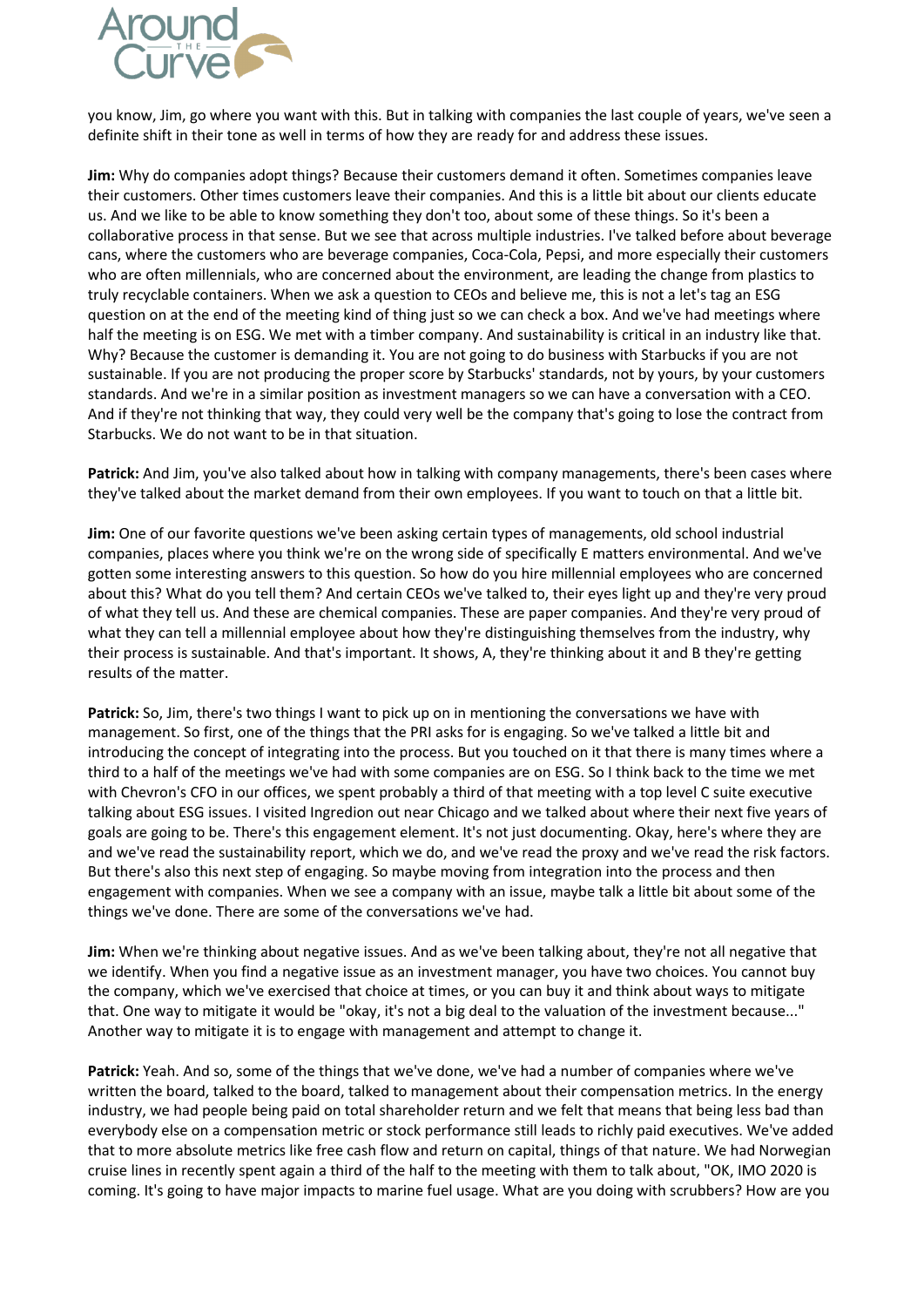

you know, Jim, go where you want with this. But in talking with companies the last couple of years, we've seen a definite shift in their tone as well in terms of how they are ready for and address these issues.

**Jim:** Why do companies adopt things? Because their customers demand it often. Sometimes companies leave their customers. Other times customers leave their companies. And this is a little bit about our clients educate us. And we like to be able to know something they don't too, about some of these things. So it's been a collaborative process in that sense. But we see that across multiple industries. I've talked before about beverage cans, where the customers who are beverage companies, Coca-Cola, Pepsi, and more especially their customers who are often millennials, who are concerned about the environment, are leading the change from plastics to truly recyclable containers. When we ask a question to CEOs and believe me, this is not a let's tag an ESG question on at the end of the meeting kind of thing just so we can check a box. And we've had meetings where half the meeting is on ESG. We met with a timber company. And sustainability is critical in an industry like that. Why? Because the customer is demanding it. You are not going to do business with Starbucks if you are not sustainable. If you are not producing the proper score by Starbucks' standards, not by yours, by your customers standards. And we're in a similar position as investment managers so we can have a conversation with a CEO. And if they're not thinking that way, they could very well be the company that's going to lose the contract from Starbucks. We do not want to be in that situation.

**Patrick:** And Jim, you've also talked about how in talking with company managements, there's been cases where they've talked about the market demand from their own employees. If you want to touch on that a little bit.

Jim: One of our favorite questions we've been asking certain types of managements, old school industrial companies, places where you think we're on the wrong side of specifically E matters environmental. And we've gotten some interesting answers to this question. So how do you hire millennial employees who are concerned about this? What do you tell them? And certain CEOs we've talked to, their eyes light up and they're very proud of what they tell us. And these are chemical companies. These are paper companies. And they're very proud of what they can tell a millennial employee about how they're distinguishing themselves from the industry, why their process is sustainable. And that's important. It shows, A, they're thinking about it and B they're getting results of the matter.

**Patrick:** So, Jim, there's two things I want to pick up on in mentioning the conversations we have with management. So first, one of the things that the PRI asks for is engaging. So we've talked a little bit and introducing the concept of integrating into the process. But you touched on it that there is many times where a third to a half of the meetings we've had with some companies are on ESG. So I think back to the time we met with Chevron's CFO in our offices, we spent probably a third of that meeting with a top level C suite executive talking about ESG issues. I visited Ingredion out near Chicago and we talked about where their next five years of goals are going to be. There's this engagement element. It's not just documenting. Okay, here's where they are and we've read the sustainability report, which we do, and we've read the proxy and we've read the risk factors. But there's also this next step of engaging. So maybe moving from integration into the process and then engagement with companies. When we see a company with an issue, maybe talk a little bit about some of the things we've done. There are some of the conversations we've had.

**Jim:** When we're thinking about negative issues. And as we've been talking about, they're not all negative that we identify. When you find a negative issue as an investment manager, you have two choices. You cannot buy the company, which we've exercised that choice at times, or you can buy it and think about ways to mitigate that. One way to mitigate it would be "okay, it's not a big deal to the valuation of the investment because..." Another way to mitigate it is to engage with management and attempt to change it.

**Patrick:** Yeah. And so, some of the things that we've done, we've had a number of companies where we've written the board, talked to the board, talked to management about their compensation metrics. In the energy industry, we had people being paid on total shareholder return and we felt that means that being less bad than everybody else on a compensation metric or stock performance still leads to richly paid executives. We've added that to more absolute metrics like free cash flow and return on capital, things of that nature. We had Norwegian cruise lines in recently spent again a third of the half to the meeting with them to talk about, "OK, IMO 2020 is coming. It's going to have major impacts to marine fuel usage. What are you doing with scrubbers? How are you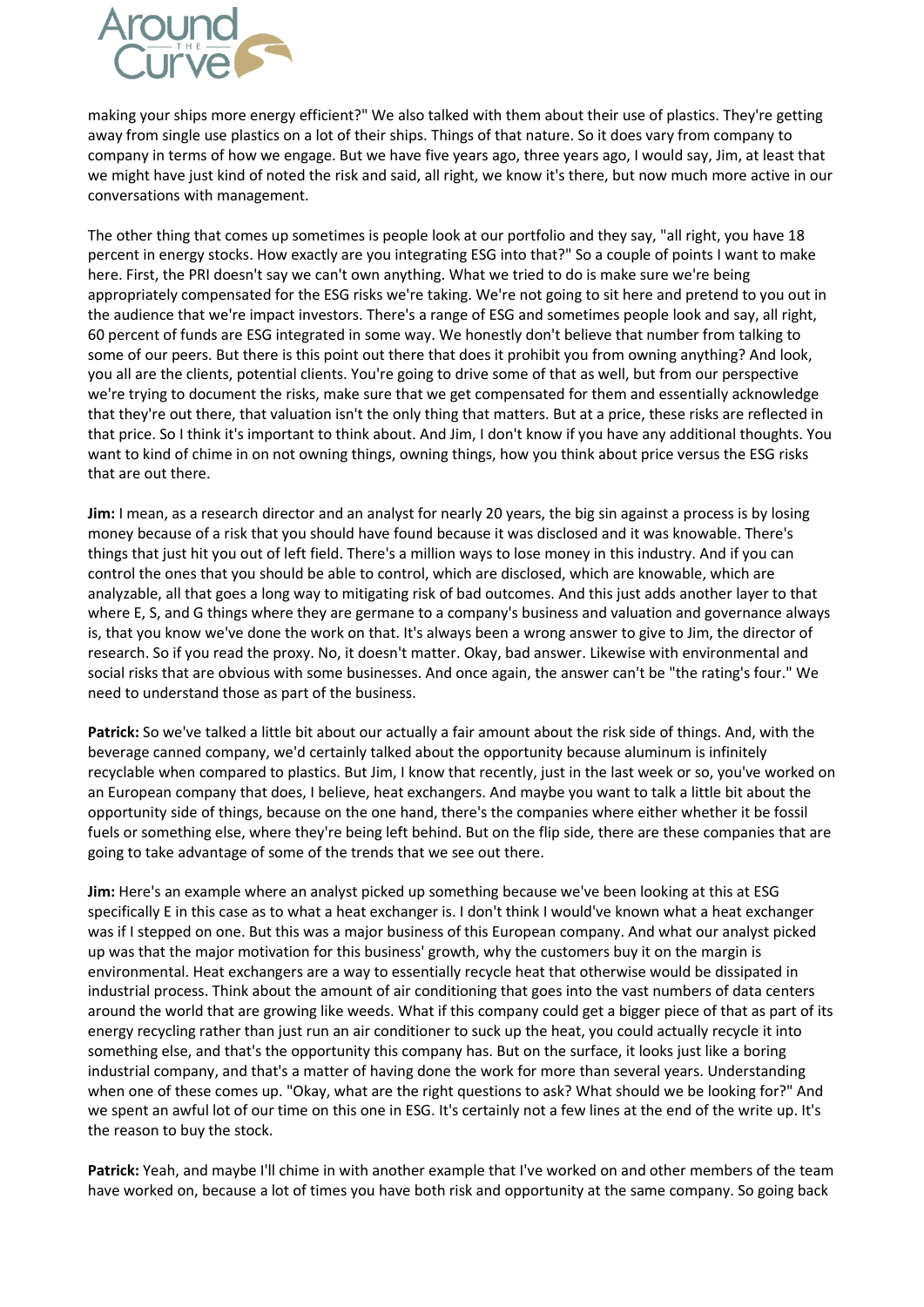

making your ships more energy efficient?" We also talked with them about their use of plastics. They're getting away from single use plastics on a lot of their ships. Things of that nature. So it does vary from company to company in terms of how we engage. But we have five years ago, three years ago, I would say, Jim, at least that we might have just kind of noted the risk and said, all right, we know it's there, but now much more active in our conversations with management.

The other thing that comes up sometimes is people look at our portfolio and they say, "all right, you have 18 percent in energy stocks. How exactly are you integrating ESG into that?" So a couple of points I want to make here. First, the PRI doesn't say we can't own anything. What we tried to do is make sure we're being appropriately compensated for the ESG risks we're taking. We're not going to sit here and pretend to you out in the audience that we're impact investors. There's a range of ESG and sometimes people look and say, all right, 60 percent of funds are ESG integrated in some way. We honestly don't believe that number from talking to some of our peers. But there is this point out there that does it prohibit you from owning anything? And look, you all are the clients, potential clients. You're going to drive some of that as well, but from our perspective we're trying to document the risks, make sure that we get compensated for them and essentially acknowledge that they're out there, that valuation isn't the only thing that matters. But at a price, these risks are reflected in that price. So I think it's important to think about. And Jim, I don't know if you have any additional thoughts. You want to kind of chime in on not owning things, owning things, how you think about price versus the ESG risks that are out there.

**Jim:** I mean, as a research director and an analyst for nearly 20 years, the big sin against a process is by losing money because of a risk that you should have found because it was disclosed and it was knowable. There's things that just hit you out of left field. There's a million ways to lose money in this industry. And if you can control the ones that you should be able to control, which are disclosed, which are knowable, which are analyzable, all that goes a long way to mitigating risk of bad outcomes. And this just adds another layer to that where E, S, and G things where they are germane to a company's business and valuation and governance always is, that you know we've done the work on that. It's always been a wrong answer to give to Jim, the director of research. So if you read the proxy. No, it doesn't matter. Okay, bad answer. Likewise with environmental and social risks that are obvious with some businesses. And once again, the answer can't be "the rating's four." We need to understand those as part of the business.

**Patrick:** So we've talked a little bit about our actually a fair amount about the risk side of things. And, with the beverage canned company, we'd certainly talked about the opportunity because aluminum is infinitely recyclable when compared to plastics. But Jim, I know that recently, just in the last week or so, you've worked on an European company that does, I believe, heat exchangers. And maybe you want to talk a little bit about the opportunity side of things, because on the one hand, there's the companies where either whether it be fossil fuels or something else, where they're being left behind. But on the flip side, there are these companies that are going to take advantage of some of the trends that we see out there.

**Jim:** Here's an example where an analyst picked up something because we've been looking at this at ESG specifically E in this case as to what a heat exchanger is. I don't think I would've known what a heat exchanger was if I stepped on one. But this was a major business of this European company. And what our analyst picked up was that the major motivation for this business' growth, why the customers buy it on the margin is environmental. Heat exchangers are a way to essentially recycle heat that otherwise would be dissipated in industrial process. Think about the amount of air conditioning that goes into the vast numbers of data centers around the world that are growing like weeds. What if this company could get a bigger piece of that as part of its energy recycling rather than just run an air conditioner to suck up the heat, you could actually recycle it into something else, and that's the opportunity this company has. But on the surface, it looks just like a boring industrial company, and that's a matter of having done the work for more than several years. Understanding when one of these comes up. "Okay, what are the right questions to ask? What should we be looking for?" And we spent an awful lot of our time on this one in ESG. It's certainly not a few lines at the end of the write up. It's the reason to buy the stock.

**Patrick:** Yeah, and maybe I'll chime in with another example that I've worked on and other members of the team have worked on, because a lot of times you have both risk and opportunity at the same company. So going back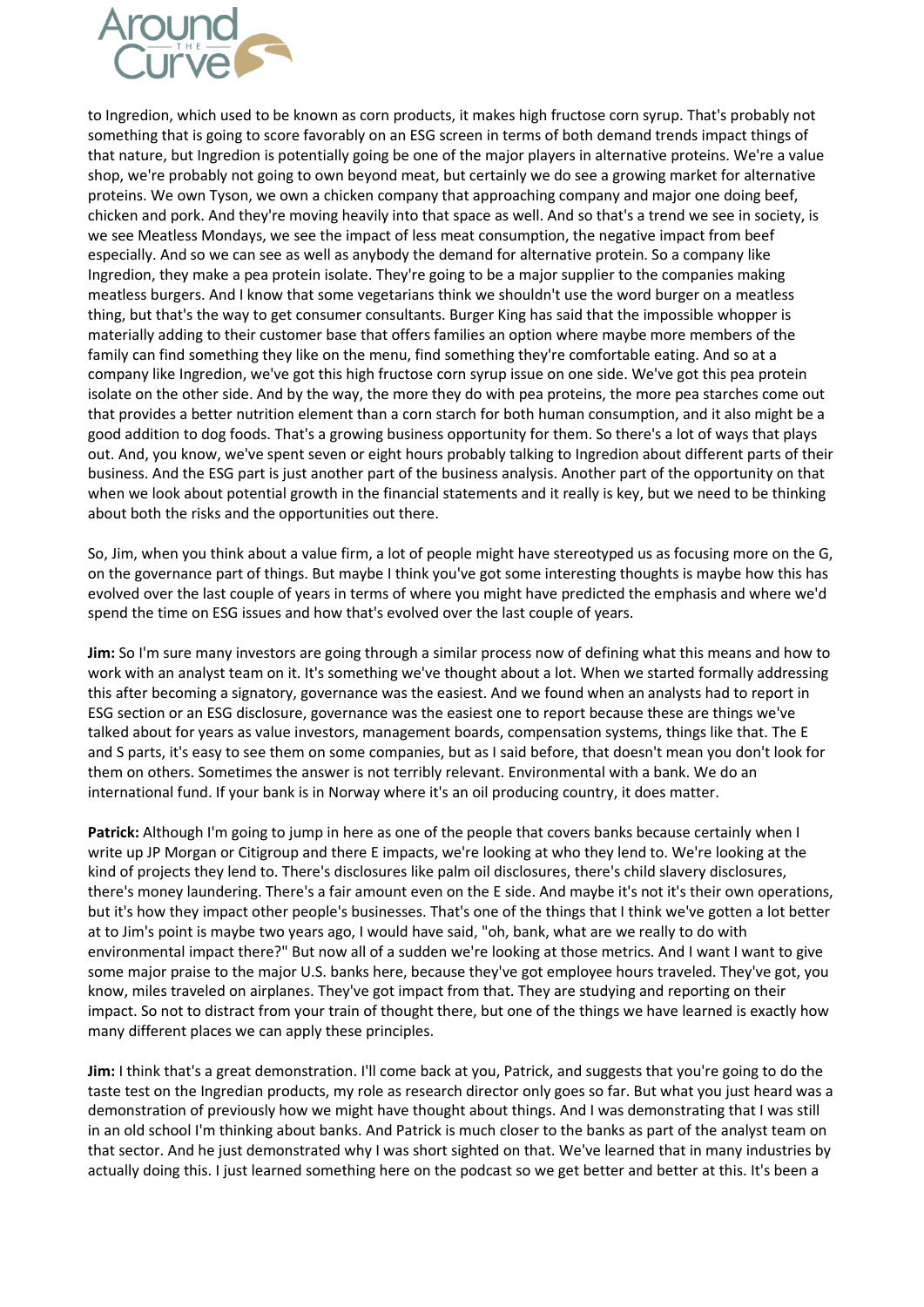

to Ingredion, which used to be known as corn products, it makes high fructose corn syrup. That's probably not something that is going to score favorably on an ESG screen in terms of both demand trends impact things of that nature, but Ingredion is potentially going be one of the major players in alternative proteins. We're a value shop, we're probably not going to own beyond meat, but certainly we do see a growing market for alternative proteins. We own Tyson, we own a chicken company that approaching company and major one doing beef, chicken and pork. And they're moving heavily into that space as well. And so that's a trend we see in society, is we see Meatless Mondays, we see the impact of less meat consumption, the negative impact from beef especially. And so we can see as well as anybody the demand for alternative protein. So a company like Ingredion, they make a pea protein isolate. They're going to be a major supplier to the companies making meatless burgers. And I know that some vegetarians think we shouldn't use the word burger on a meatless thing, but that's the way to get consumer consultants. Burger King has said that the impossible whopper is materially adding to their customer base that offers families an option where maybe more members of the family can find something they like on the menu, find something they're comfortable eating. And so at a company like Ingredion, we've got this high fructose corn syrup issue on one side. We've got this pea protein isolate on the other side. And by the way, the more they do with pea proteins, the more pea starches come out that provides a better nutrition element than a corn starch for both human consumption, and it also might be a good addition to dog foods. That's a growing business opportunity for them. So there's a lot of ways that plays out. And, you know, we've spent seven or eight hours probably talking to Ingredion about different parts of their business. And the ESG part is just another part of the business analysis. Another part of the opportunity on that when we look about potential growth in the financial statements and it really is key, but we need to be thinking about both the risks and the opportunities out there.

So, Jim, when you think about a value firm, a lot of people might have stereotyped us as focusing more on the G, on the governance part of things. But maybe I think you've got some interesting thoughts is maybe how this has evolved over the last couple of years in terms of where you might have predicted the emphasis and where we'd spend the time on ESG issues and how that's evolved over the last couple of years.

**Jim:** So I'm sure many investors are going through a similar process now of defining what this means and how to work with an analyst team on it. It's something we've thought about a lot. When we started formally addressing this after becoming a signatory, governance was the easiest. And we found when an analysts had to report in ESG section or an ESG disclosure, governance was the easiest one to report because these are things we've talked about for years as value investors, management boards, compensation systems, things like that. The E and S parts, it's easy to see them on some companies, but as I said before, that doesn't mean you don't look for them on others. Sometimes the answer is not terribly relevant. Environmental with a bank. We do an international fund. If your bank is in Norway where it's an oil producing country, it does matter.

**Patrick:** Although I'm going to jump in here as one of the people that covers banks because certainly when I write up JP Morgan or Citigroup and there E impacts, we're looking at who they lend to. We're looking at the kind of projects they lend to. There's disclosures like palm oil disclosures, there's child slavery disclosures, there's money laundering. There's a fair amount even on the E side. And maybe it's not it's their own operations, but it's how they impact other people's businesses. That's one of the things that I think we've gotten a lot better at to Jim's point is maybe two years ago, I would have said, "oh, bank, what are we really to do with environmental impact there?" But now all of a sudden we're looking at those metrics. And I want I want to give some major praise to the major U.S. banks here, because they've got employee hours traveled. They've got, you know, miles traveled on airplanes. They've got impact from that. They are studying and reporting on their impact. So not to distract from your train of thought there, but one of the things we have learned is exactly how many different places we can apply these principles.

**Jim:** I think that's a great demonstration. I'll come back at you, Patrick, and suggests that you're going to do the taste test on the Ingredian products, my role as research director only goes so far. But what you just heard was a demonstration of previously how we might have thought about things. And I was demonstrating that I was still in an old school I'm thinking about banks. And Patrick is much closer to the banks as part of the analyst team on that sector. And he just demonstrated why I was short sighted on that. We've learned that in many industries by actually doing this. I just learned something here on the podcast so we get better and better at this. It's been a